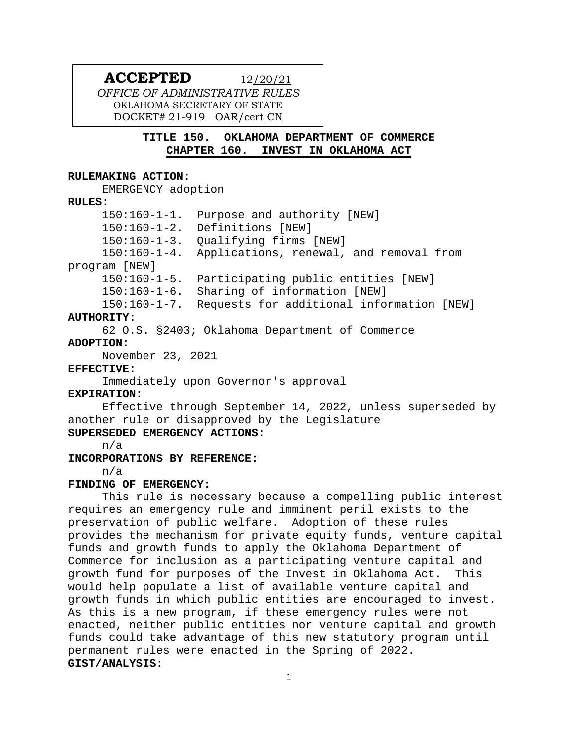# **ACCEPTED** 12/20/21

*OFFICE OF ADMINISTRATIVE RULES* OKLAHOMA SECRETARY OF STATE DOCKET# 21-919 OAR/cert CN

> **TITLE 150. OKLAHOMA DEPARTMENT OF COMMERCE CHAPTER 160. INVEST IN OKLAHOMA ACT**

### **RULEMAKING ACTION:**

EMERGENCY adoption

#### **RULES:**

150:160-1-1. Purpose and authority [NEW] 150:160-1-2. Definitions [NEW] 150:160-1-3. Qualifying firms [NEW] 150:160-1-4. Applications, renewal, and removal from program [NEW] 150:160-1-5. Participating public entities [NEW] 150:160-1-6. Sharing of information [NEW] 150:160-1-7. Requests for additional information [NEW]

# **AUTHORITY:**

62 O.S. §2403; Oklahoma Department of Commerce

### **ADOPTION:**

November 23, 2021

#### **EFFECTIVE:**

Immediately upon Governor's approval

#### **EXPIRATION:**

Effective through September 14, 2022, unless superseded by another rule or disapproved by the Legislature

# **SUPERSEDED EMERGENCY ACTIONS:**

n/a

#### **INCORPORATIONS BY REFERENCE:**

n/a

#### **FINDING OF EMERGENCY:**

This rule is necessary because a compelling public interest requires an emergency rule and imminent peril exists to the preservation of public welfare. Adoption of these rules provides the mechanism for private equity funds, venture capital funds and growth funds to apply the Oklahoma Department of Commerce for inclusion as a participating venture capital and growth fund for purposes of the Invest in Oklahoma Act. This would help populate a list of available venture capital and growth funds in which public entities are encouraged to invest. As this is a new program, if these emergency rules were not enacted, neither public entities nor venture capital and growth funds could take advantage of this new statutory program until permanent rules were enacted in the Spring of 2022. **GIST/ANALYSIS:**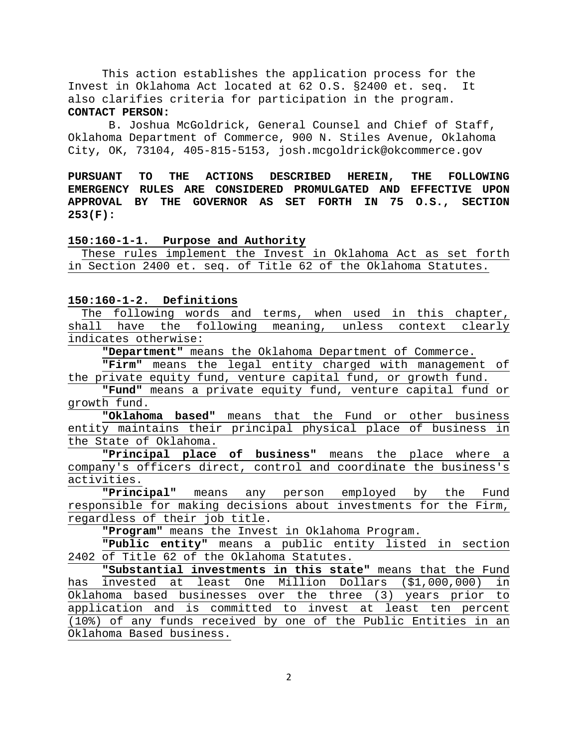This action establishes the application process for the Invest in Oklahoma Act located at 62 O.S. §2400 et. seq. It also clarifies criteria for participation in the program. **CONTACT PERSON:**

B. Joshua McGoldrick, General Counsel and Chief of Staff, Oklahoma Department of Commerce, 900 N. Stiles Avenue, Oklahoma City, OK, 73104, 405-815-5153, josh.mcgoldrick@okcommerce.gov

**PURSUANT TO THE ACTIONS DESCRIBED HEREIN, THE FOLLOWING EMERGENCY RULES ARE CONSIDERED PROMULGATED AND EFFECTIVE UPON APPROVAL BY THE GOVERNOR AS SET FORTH IN 75 O.S., SECTION 253(F):**

#### **150:160-1-1. Purpose and Authority**

 These rules implement the Invest in Oklahoma Act as set forth in Section 2400 et. seq. of Title 62 of the Oklahoma Statutes.

### **150:160-1-2. Definitions**

 The following words and terms, when used in this chapter, shall have the following meaning, unless context clearly indicates otherwise:

**"Department"** means the Oklahoma Department of Commerce.

**"Firm"** means the legal entity charged with management of the private equity fund, venture capital fund, or growth fund.

**"Fund"** means a private equity fund, venture capital fund or growth fund.

**"Oklahoma based"** means that the Fund or other business entity maintains their principal physical place of business in the State of Oklahoma.

**"Principal place of business"** means the place where a company's officers direct, control and coordinate the business's activities.

**"Principal"** means any person employed by the Fund responsible for making decisions about investments for the Firm, regardless of their job title.

**"Program"** means the Invest in Oklahoma Program.

**"Public entity"** means a public entity listed in section 2402 of Title 62 of the Oklahoma Statutes.

**"Substantial investments in this state"** means that the Fund has invested at least One Million Dollars (\$1,000,000) in Oklahoma based businesses over the three (3) years prior to application and is committed to invest at least ten percent (10%) of any funds received by one of the Public Entities in an Oklahoma Based business.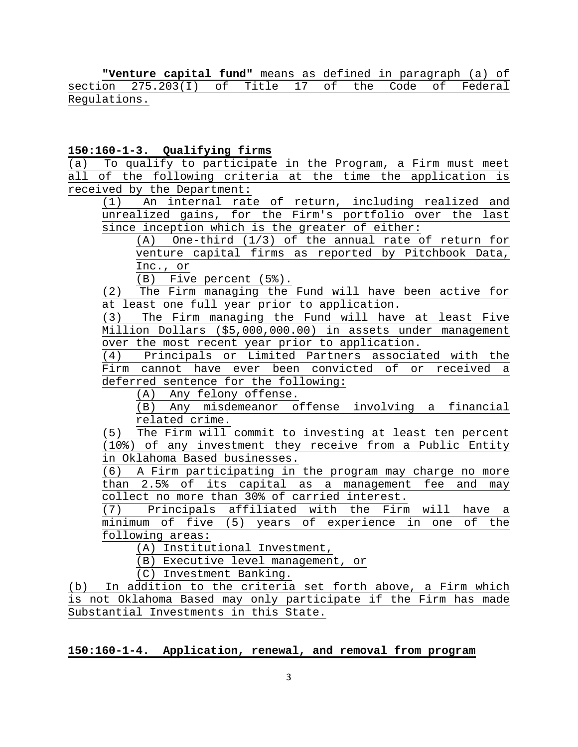**"Venture capital fund"** means as defined in paragraph (a) of section  $275.203(1)$  of Title 17 of Regulations.

# **150:160-1-3. Qualifying firms**

(a) To qualify to participate in the Program, a Firm must meet all of the following criteria at the time the application is received by the Department:

(1) An internal rate of return, including realized and unrealized gains, for the Firm's portfolio over the last since inception which is the greater of either:

(A) One-third (1/3) of the annual rate of return for venture capital firms as reported by Pitchbook Data, Inc., or

(B) Five percent (5%).

(2) The Firm managing the Fund will have been active for at least one full year prior to application.

(3) The Firm managing the Fund will have at least Five Million Dollars (\$5,000,000.00) in assets under management over the most recent year prior to application.

(4) Principals or Limited Partners associated with the Firm cannot have ever been convicted of or received a deferred sentence for the following:

(A) Any felony offense.

(B) Any misdemeanor offense involving a financial related crime.

(5) The Firm will commit to investing at least ten percent (10%) of any investment they receive from a Public Entity in Oklahoma Based businesses.

(6) A Firm participating in the program may charge no more than 2.5% of its capital as a management fee and may collect no more than 30% of carried interest.

Principals affiliated with the Firm will have a minimum of five (5) years of experience in one of the following areas:

(A) Institutional Investment,

(B) Executive level management, or

(C) Investment Banking.

(b) In addition to the criteria set forth above, a Firm which is not Oklahoma Based may only participate if the Firm has made Substantial Investments in this State.

# **150:160-1-4. Application, renewal, and removal from program**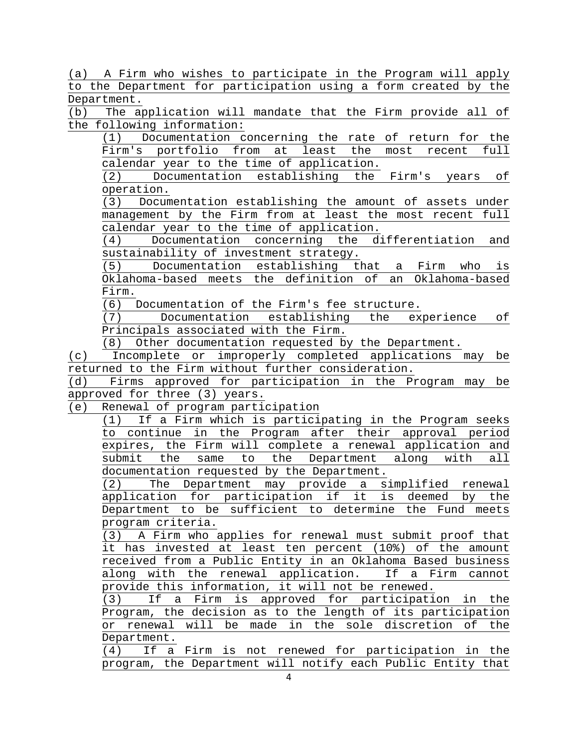(a) A Firm who wishes to participate in the Program will apply to the Department for participation using a form created by the Department.

(b) The application will mandate that the Firm provide all of the following information:

(1) Documentation concerning the rate of return for the Firm's portfolio from at least the most recent calendar year to the time of application.

(2) Documentation establishing the Firm's years of operation.

(3) Documentation establishing the amount of assets under management by the Firm from at least the most recent full calendar year to the time of application.<br>(4) Documentation concerning the di

Documentation concerning the differentiation and sustainability of investment strategy.

(5) Documentation establishing that a Firm who is Oklahoma-based meets the definition of an Oklahoma-based Firm.

(6) Documentation of the Firm's fee structure.

(7) Documentation establishing the experience of Principals associated with the Firm.

(8) Other documentation requested by the Department.

(c) Incomplete or improperly completed applications may be returned to the Firm without further consideration.

(d) Firms approved for participation in the Program may be approved for three (3) years.

(e) Renewal of program participation

(1) If a Firm which is participating in the Program seeks to continue in the Program after their approval period expires, the Firm will complete a renewal application and submit the same to the Department along with all documentation requested by the Department.

(2) The Department may provide a simplified renewal application for participation if it is deemed by the Department to be sufficient to determine the Fund meets program criteria.

(3) A Firm who applies for renewal must submit proof that it has invested at least ten percent (10%) of the amount received from a Public Entity in an Oklahoma Based business along with the renewal application. If a Firm cannot provide this information, it will not be renewed.

(3) If a Firm is approved for participation in the Program, the decision as to the length of its participation or renewal will be made in the sole discretion of the Department.

(4) If a Firm is not renewed for participation in the program, the Department will notify each Public Entity that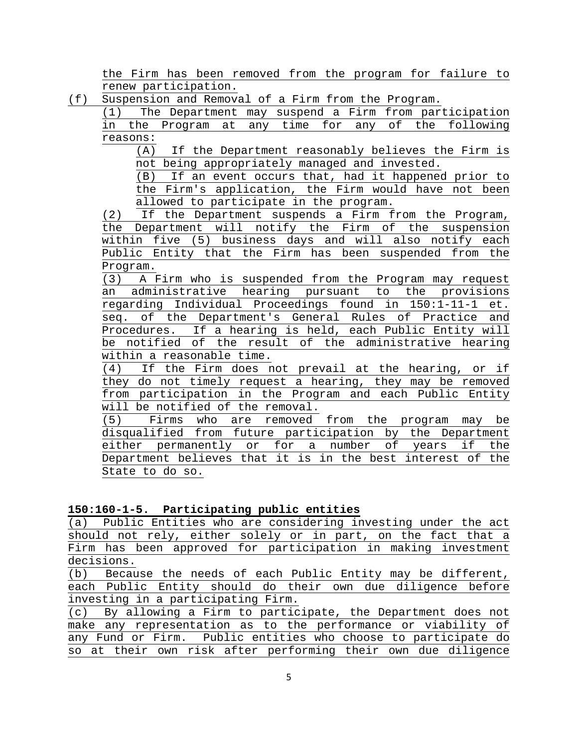the Firm has been removed from the program for failure to renew participation.

(f) Suspension and Removal of a Firm from the Program.

(1) The Department may suspend a Firm from participation in the Program at any time for any of the following reasons:

(A) If the Department reasonably believes the Firm is not being appropriately managed and invested.

(B) If an event occurs that, had it happened prior to the Firm's application, the Firm would have not been allowed to participate in the program.

(2) If the Department suspends a Firm from the Program, the Department will notify the Firm of the suspension within five (5) business days and will also notify each Public Entity that the Firm has been suspended from the Program.

(3) A Firm who is suspended from the Program may request an administrative hearing pursuant to the provisions regarding Individual Proceedings found in 150:1-11-1 et. seq. of the Department's General Rules of Practice and Procedures. If a hearing is held, each Public Entity will be notified of the result of the administrative hearing within a reasonable time.

(4) If the Firm does not prevail at the hearing, or if they do not timely request a hearing, they may be removed from participation in the Program and each Public Entity will be notified of the removal.

(5) Firms who are removed from the program may be disqualified from future participation by the Department either permanently or for a number of years if the Department believes that it is in the best interest of the State to do so.

# **150:160-1-5. Participating public entities**

(a) Public Entities who are considering investing under the act should not rely, either solely or in part, on the fact that a Firm has been approved for participation in making investment decisions.<br>(b) Becau

Because the needs of each Public Entity may be different, each Public Entity should do their own due diligence before investing in a participating Firm.

(c) By allowing a Firm to participate, the Department does not make any representation as to the performance or viability of any Fund or Firm. Public entities who choose to participate do so at their own risk after performing their own due diligence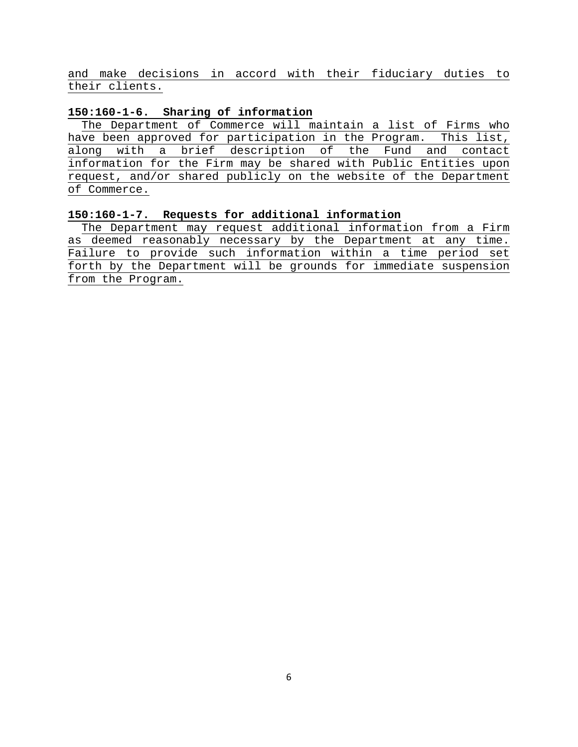and make decisions in accord with their fiduciary duties to their clients.

## **150:160-1-6. Sharing of information**

 The Department of Commerce will maintain a list of Firms who have been approved for participation in the Program. This list, along with a brief description of the Fund and contact information for the Firm may be shared with Public Entities upon request, and/or shared publicly on the website of the Department of Commerce.

## **150:160-1-7. Requests for additional information**

 The Department may request additional information from a Firm as deemed reasonably necessary by the Department at any time. Failure to provide such information within a time period set forth by the Department will be grounds for immediate suspension from the Program.